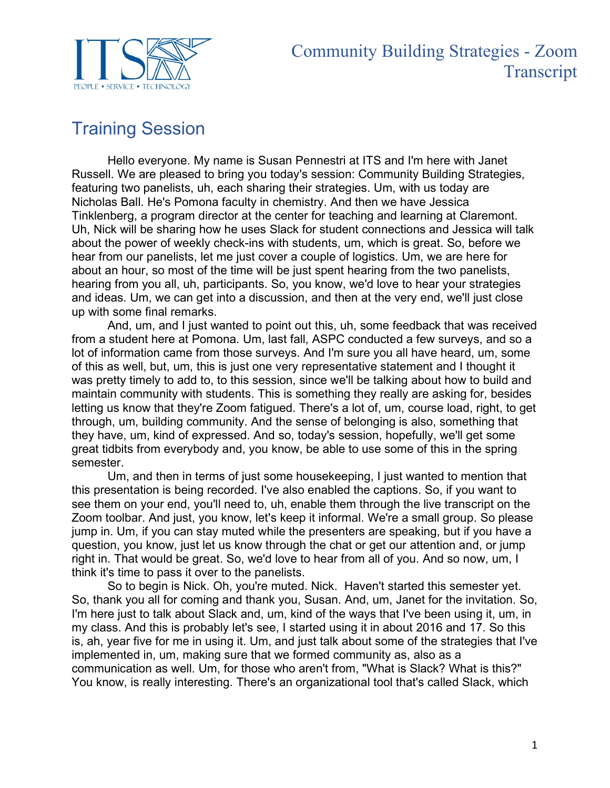

## Community Building Strategies - Zoom **Transcript**

## Training Session

Hello everyone. My name is Susan Pennestri at ITS and I'm here with Janet Russell. We are pleased to bring you today's session: Community Building Strategies, featuring two panelists, uh, each sharing their strategies. Um, with us today are Nicholas Ball. He's Pomona faculty in chemistry. And then we have Jessica Tinklenberg, a program director at the center for teaching and learning at Claremont. Uh, Nick will be sharing how he uses Slack for student connections and Jessica will talk about the power of weekly check-ins with students, um, which is great. So, before we hear from our panelists, let me just cover a couple of logistics. Um, we are here for about an hour, so most of the time will be just spent hearing from the two panelists, hearing from you all, uh, participants. So, you know, we'd love to hear your strategies and ideas. Um, we can get into a discussion, and then at the very end, we'll just close up with some final remarks.

And, um, and I just wanted to point out this, uh, some feedback that was received from a student here at Pomona. Um, last fall, ASPC conducted a few surveys, and so a lot of information came from those surveys. And I'm sure you all have heard, um, some of this as well, but, um, this is just one very representative statement and I thought it was pretty timely to add to, to this session, since we'll be talking about how to build and maintain community with students. This is something they really are asking for, besides letting us know that they're Zoom fatigued. There's a lot of, um, course load, right, to get through, um, building community. And the sense of belonging is also, something that they have, um, kind of expressed. And so, today's session, hopefully, we'll get some great tidbits from everybody and, you know, be able to use some of this in the spring semester.

Um, and then in terms of just some housekeeping, I just wanted to mention that this presentation is being recorded. I've also enabled the captions. So, if you want to see them on your end, you'll need to, uh, enable them through the live transcript on the Zoom toolbar. And just, you know, let's keep it informal. We're a small group. So please jump in. Um, if you can stay muted while the presenters are speaking, but if you have a question, you know, just let us know through the chat or get our attention and, or jump right in. That would be great. So, we'd love to hear from all of you. And so now, um, I think it's time to pass it over to the panelists.

So to begin is Nick. Oh, you're muted. Nick. Haven't started this semester yet. So, thank you all for coming and thank you, Susan. And, um, Janet for the invitation. So, I'm here just to talk about Slack and, um, kind of the ways that I've been using it, um, in my class. And this is probably let's see, I started using it in about 2016 and 17. So this is, ah, year five for me in using it. Um, and just talk about some of the strategies that I've implemented in, um, making sure that we formed community as, also as a communication as well. Um, for those who aren't from, "What is Slack? What is this?" You know, is really interesting. There's an organizational tool that's called Slack, which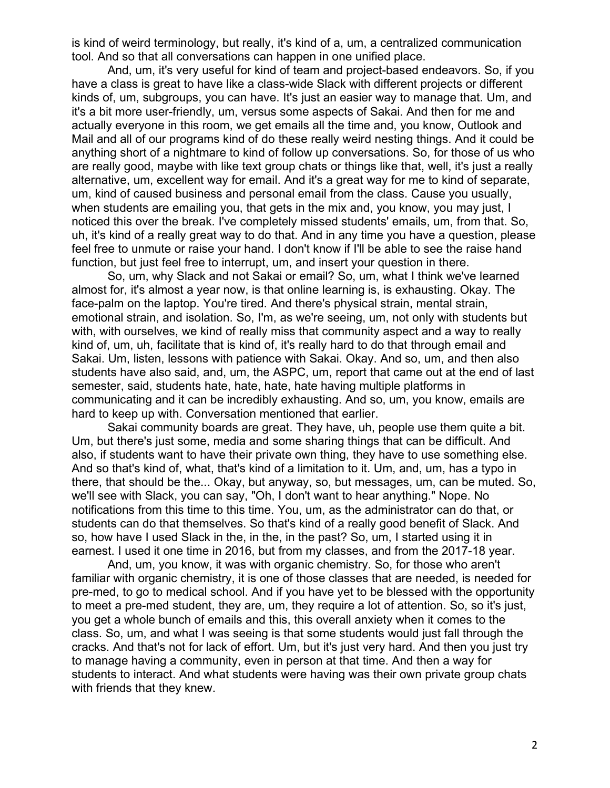is kind of weird terminology, but really, it's kind of a, um, a centralized communication tool. And so that all conversations can happen in one unified place.

And, um, it's very useful for kind of team and project-based endeavors. So, if you have a class is great to have like a class-wide Slack with different projects or different kinds of, um, subgroups, you can have. It's just an easier way to manage that. Um, and it's a bit more user-friendly, um, versus some aspects of Sakai. And then for me and actually everyone in this room, we get emails all the time and, you know, Outlook and Mail and all of our programs kind of do these really weird nesting things. And it could be anything short of a nightmare to kind of follow up conversations. So, for those of us who are really good, maybe with like text group chats or things like that, well, it's just a really alternative, um, excellent way for email. And it's a great way for me to kind of separate, um, kind of caused business and personal email from the class. Cause you usually, when students are emailing you, that gets in the mix and, you know, you may just, I noticed this over the break. I've completely missed students' emails, um, from that. So, uh, it's kind of a really great way to do that. And in any time you have a question, please feel free to unmute or raise your hand. I don't know if I'll be able to see the raise hand function, but just feel free to interrupt, um, and insert your question in there.

So, um, why Slack and not Sakai or email? So, um, what I think we've learned almost for, it's almost a year now, is that online learning is, is exhausting. Okay. The face-palm on the laptop. You're tired. And there's physical strain, mental strain, emotional strain, and isolation. So, I'm, as we're seeing, um, not only with students but with, with ourselves, we kind of really miss that community aspect and a way to really kind of, um, uh, facilitate that is kind of, it's really hard to do that through email and Sakai. Um, listen, lessons with patience with Sakai. Okay. And so, um, and then also students have also said, and, um, the ASPC, um, report that came out at the end of last semester, said, students hate, hate, hate, hate having multiple platforms in communicating and it can be incredibly exhausting. And so, um, you know, emails are hard to keep up with. Conversation mentioned that earlier.

Sakai community boards are great. They have, uh, people use them quite a bit. Um, but there's just some, media and some sharing things that can be difficult. And also, if students want to have their private own thing, they have to use something else. And so that's kind of, what, that's kind of a limitation to it. Um, and, um, has a typo in there, that should be the... Okay, but anyway, so, but messages, um, can be muted. So, we'll see with Slack, you can say, "Oh, I don't want to hear anything." Nope. No notifications from this time to this time. You, um, as the administrator can do that, or students can do that themselves. So that's kind of a really good benefit of Slack. And so, how have I used Slack in the, in the, in the past? So, um, I started using it in earnest. I used it one time in 2016, but from my classes, and from the 2017-18 year.

And, um, you know, it was with organic chemistry. So, for those who aren't familiar with organic chemistry, it is one of those classes that are needed, is needed for pre-med, to go to medical school. And if you have yet to be blessed with the opportunity to meet a pre-med student, they are, um, they require a lot of attention. So, so it's just, you get a whole bunch of emails and this, this overall anxiety when it comes to the class. So, um, and what I was seeing is that some students would just fall through the cracks. And that's not for lack of effort. Um, but it's just very hard. And then you just try to manage having a community, even in person at that time. And then a way for students to interact. And what students were having was their own private group chats with friends that they knew.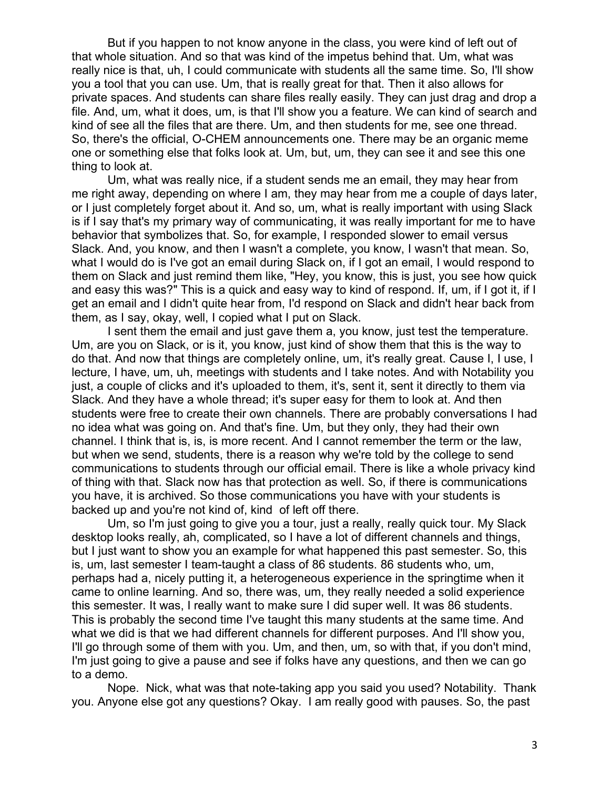But if you happen to not know anyone in the class, you were kind of left out of that whole situation. And so that was kind of the impetus behind that. Um, what was really nice is that, uh, I could communicate with students all the same time. So, I'll show you a tool that you can use. Um, that is really great for that. Then it also allows for private spaces. And students can share files really easily. They can just drag and drop a file. And, um, what it does, um, is that I'll show you a feature. We can kind of search and kind of see all the files that are there. Um, and then students for me, see one thread. So, there's the official, O-CHEM announcements one. There may be an organic meme one or something else that folks look at. Um, but, um, they can see it and see this one thing to look at.

Um, what was really nice, if a student sends me an email, they may hear from me right away, depending on where I am, they may hear from me a couple of days later, or I just completely forget about it. And so, um, what is really important with using Slack is if I say that's my primary way of communicating, it was really important for me to have behavior that symbolizes that. So, for example, I responded slower to email versus Slack. And, you know, and then I wasn't a complete, you know, I wasn't that mean. So, what I would do is I've got an email during Slack on, if I got an email, I would respond to them on Slack and just remind them like, "Hey, you know, this is just, you see how quick and easy this was?" This is a quick and easy way to kind of respond. If, um, if I got it, if I get an email and I didn't quite hear from, I'd respond on Slack and didn't hear back from them, as I say, okay, well, I copied what I put on Slack.

I sent them the email and just gave them a, you know, just test the temperature. Um, are you on Slack, or is it, you know, just kind of show them that this is the way to do that. And now that things are completely online, um, it's really great. Cause I, I use, I lecture, I have, um, uh, meetings with students and I take notes. And with Notability you just, a couple of clicks and it's uploaded to them, it's, sent it, sent it directly to them via Slack. And they have a whole thread; it's super easy for them to look at. And then students were free to create their own channels. There are probably conversations I had no idea what was going on. And that's fine. Um, but they only, they had their own channel. I think that is, is, is more recent. And I cannot remember the term or the law, but when we send, students, there is a reason why we're told by the college to send communications to students through our official email. There is like a whole privacy kind of thing with that. Slack now has that protection as well. So, if there is communications you have, it is archived. So those communications you have with your students is backed up and you're not kind of, kind of left off there.

Um, so I'm just going to give you a tour, just a really, really quick tour. My Slack desktop looks really, ah, complicated, so I have a lot of different channels and things, but I just want to show you an example for what happened this past semester. So, this is, um, last semester I team-taught a class of 86 students. 86 students who, um, perhaps had a, nicely putting it, a heterogeneous experience in the springtime when it came to online learning. And so, there was, um, they really needed a solid experience this semester. It was, I really want to make sure I did super well. It was 86 students. This is probably the second time I've taught this many students at the same time. And what we did is that we had different channels for different purposes. And I'll show you, I'll go through some of them with you. Um, and then, um, so with that, if you don't mind, I'm just going to give a pause and see if folks have any questions, and then we can go to a demo.

Nope. Nick, what was that note-taking app you said you used? Notability. Thank you. Anyone else got any questions? Okay. I am really good with pauses. So, the past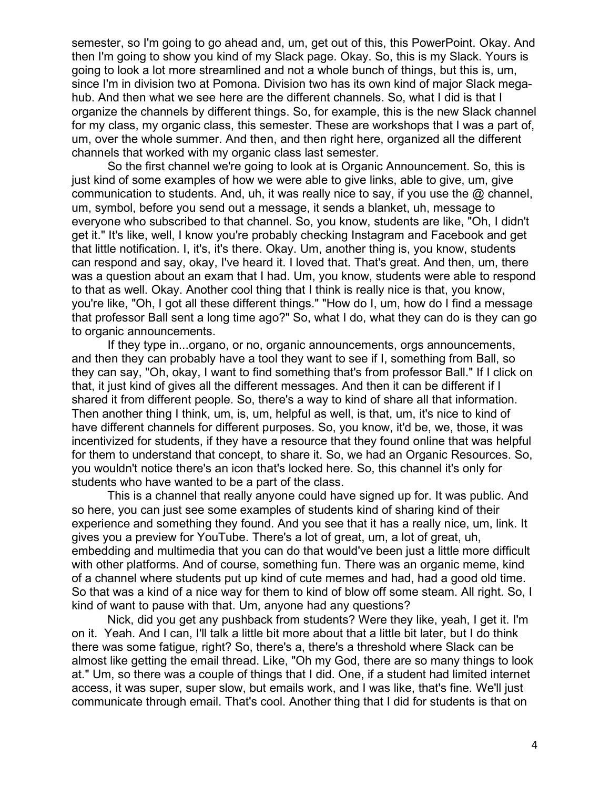semester, so I'm going to go ahead and, um, get out of this, this PowerPoint. Okay. And then I'm going to show you kind of my Slack page. Okay. So, this is my Slack. Yours is going to look a lot more streamlined and not a whole bunch of things, but this is, um, since I'm in division two at Pomona. Division two has its own kind of major Slack megahub. And then what we see here are the different channels. So, what I did is that I organize the channels by different things. So, for example, this is the new Slack channel for my class, my organic class, this semester. These are workshops that I was a part of, um, over the whole summer. And then, and then right here, organized all the different channels that worked with my organic class last semester.

So the first channel we're going to look at is Organic Announcement. So, this is just kind of some examples of how we were able to give links, able to give, um, give communication to students. And, uh, it was really nice to say, if you use the  $\omega$  channel, um, symbol, before you send out a message, it sends a blanket, uh, message to everyone who subscribed to that channel. So, you know, students are like, "Oh, I didn't get it." It's like, well, I know you're probably checking Instagram and Facebook and get that little notification. I, it's, it's there. Okay. Um, another thing is, you know, students can respond and say, okay, I've heard it. I loved that. That's great. And then, um, there was a question about an exam that I had. Um, you know, students were able to respond to that as well. Okay. Another cool thing that I think is really nice is that, you know, you're like, "Oh, I got all these different things." "How do I, um, how do I find a message that professor Ball sent a long time ago?" So, what I do, what they can do is they can go to organic announcements.

If they type in...organo, or no, organic announcements, orgs announcements, and then they can probably have a tool they want to see if I, something from Ball, so they can say, "Oh, okay, I want to find something that's from professor Ball." If I click on that, it just kind of gives all the different messages. And then it can be different if I shared it from different people. So, there's a way to kind of share all that information. Then another thing I think, um, is, um, helpful as well, is that, um, it's nice to kind of have different channels for different purposes. So, you know, it'd be, we, those, it was incentivized for students, if they have a resource that they found online that was helpful for them to understand that concept, to share it. So, we had an Organic Resources. So, you wouldn't notice there's an icon that's locked here. So, this channel it's only for students who have wanted to be a part of the class.

This is a channel that really anyone could have signed up for. It was public. And so here, you can just see some examples of students kind of sharing kind of their experience and something they found. And you see that it has a really nice, um, link. It gives you a preview for YouTube. There's a lot of great, um, a lot of great, uh, embedding and multimedia that you can do that would've been just a little more difficult with other platforms. And of course, something fun. There was an organic meme, kind of a channel where students put up kind of cute memes and had, had a good old time. So that was a kind of a nice way for them to kind of blow off some steam. All right. So, I kind of want to pause with that. Um, anyone had any questions?

Nick, did you get any pushback from students? Were they like, yeah, I get it. I'm on it. Yeah. And I can, I'll talk a little bit more about that a little bit later, but I do think there was some fatigue, right? So, there's a, there's a threshold where Slack can be almost like getting the email thread. Like, "Oh my God, there are so many things to look at." Um, so there was a couple of things that I did. One, if a student had limited internet access, it was super, super slow, but emails work, and I was like, that's fine. We'll just communicate through email. That's cool. Another thing that I did for students is that on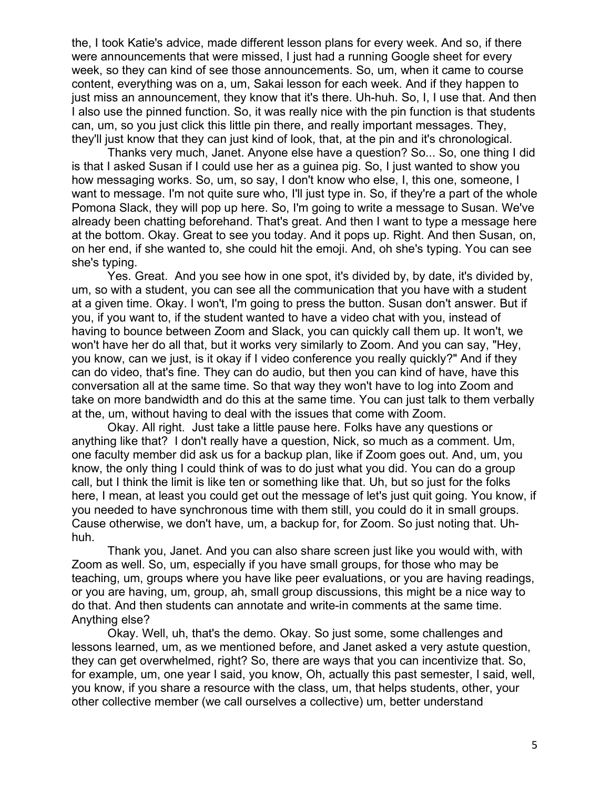the, I took Katie's advice, made different lesson plans for every week. And so, if there were announcements that were missed, I just had a running Google sheet for every week, so they can kind of see those announcements. So, um, when it came to course content, everything was on a, um, Sakai lesson for each week. And if they happen to just miss an announcement, they know that it's there. Uh-huh. So, I, I use that. And then I also use the pinned function. So, it was really nice with the pin function is that students can, um, so you just click this little pin there, and really important messages. They, they'll just know that they can just kind of look, that, at the pin and it's chronological.

Thanks very much, Janet. Anyone else have a question? So... So, one thing I did is that I asked Susan if I could use her as a guinea pig. So, I just wanted to show you how messaging works. So, um, so say, I don't know who else, I, this one, someone, I want to message. I'm not quite sure who, I'll just type in. So, if they're a part of the whole Pomona Slack, they will pop up here. So, I'm going to write a message to Susan. We've already been chatting beforehand. That's great. And then I want to type a message here at the bottom. Okay. Great to see you today. And it pops up. Right. And then Susan, on, on her end, if she wanted to, she could hit the emoji. And, oh she's typing. You can see she's typing.

Yes. Great. And you see how in one spot, it's divided by, by date, it's divided by, um, so with a student, you can see all the communication that you have with a student at a given time. Okay. I won't, I'm going to press the button. Susan don't answer. But if you, if you want to, if the student wanted to have a video chat with you, instead of having to bounce between Zoom and Slack, you can quickly call them up. It won't, we won't have her do all that, but it works very similarly to Zoom. And you can say, "Hey, you know, can we just, is it okay if I video conference you really quickly?" And if they can do video, that's fine. They can do audio, but then you can kind of have, have this conversation all at the same time. So that way they won't have to log into Zoom and take on more bandwidth and do this at the same time. You can just talk to them verbally at the, um, without having to deal with the issues that come with Zoom.

Okay. All right. Just take a little pause here. Folks have any questions or anything like that? I don't really have a question, Nick, so much as a comment. Um, one faculty member did ask us for a backup plan, like if Zoom goes out. And, um, you know, the only thing I could think of was to do just what you did. You can do a group call, but I think the limit is like ten or something like that. Uh, but so just for the folks here, I mean, at least you could get out the message of let's just quit going. You know, if you needed to have synchronous time with them still, you could do it in small groups. Cause otherwise, we don't have, um, a backup for, for Zoom. So just noting that. Uhhuh.

Thank you, Janet. And you can also share screen just like you would with, with Zoom as well. So, um, especially if you have small groups, for those who may be teaching, um, groups where you have like peer evaluations, or you are having readings, or you are having, um, group, ah, small group discussions, this might be a nice way to do that. And then students can annotate and write-in comments at the same time. Anything else?

Okay. Well, uh, that's the demo. Okay. So just some, some challenges and lessons learned, um, as we mentioned before, and Janet asked a very astute question, they can get overwhelmed, right? So, there are ways that you can incentivize that. So, for example, um, one year I said, you know, Oh, actually this past semester, I said, well, you know, if you share a resource with the class, um, that helps students, other, your other collective member (we call ourselves a collective) um, better understand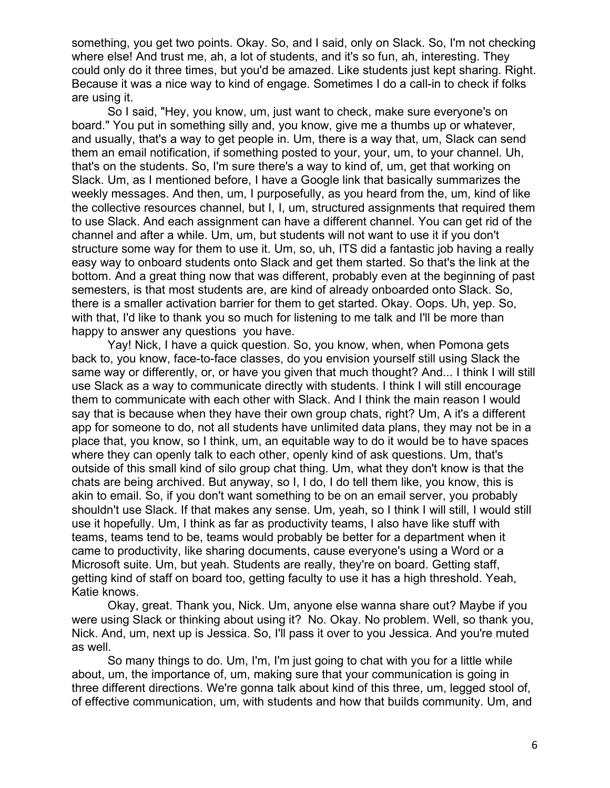something, you get two points. Okay. So, and I said, only on Slack. So, I'm not checking where else! And trust me, ah, a lot of students, and it's so fun, ah, interesting. They could only do it three times, but you'd be amazed. Like students just kept sharing. Right. Because it was a nice way to kind of engage. Sometimes I do a call-in to check if folks are using it.

So I said, "Hey, you know, um, just want to check, make sure everyone's on board." You put in something silly and, you know, give me a thumbs up or whatever, and usually, that's a way to get people in. Um, there is a way that, um, Slack can send them an email notification, if something posted to your, your, um, to your channel. Uh, that's on the students. So, I'm sure there's a way to kind of, um, get that working on Slack. Um, as I mentioned before, I have a Google link that basically summarizes the weekly messages. And then, um, I purposefully, as you heard from the, um, kind of like the collective resources channel, but I, I, um, structured assignments that required them to use Slack. And each assignment can have a different channel. You can get rid of the channel and after a while. Um, um, but students will not want to use it if you don't structure some way for them to use it. Um, so, uh, ITS did a fantastic job having a really easy way to onboard students onto Slack and get them started. So that's the link at the bottom. And a great thing now that was different, probably even at the beginning of past semesters, is that most students are, are kind of already onboarded onto Slack. So, there is a smaller activation barrier for them to get started. Okay. Oops. Uh, yep. So, with that, I'd like to thank you so much for listening to me talk and I'll be more than happy to answer any questions you have.

Yay! Nick, I have a quick question. So, you know, when, when Pomona gets back to, you know, face-to-face classes, do you envision yourself still using Slack the same way or differently, or, or have you given that much thought? And... I think I will still use Slack as a way to communicate directly with students. I think I will still encourage them to communicate with each other with Slack. And I think the main reason I would say that is because when they have their own group chats, right? Um, A it's a different app for someone to do, not all students have unlimited data plans, they may not be in a place that, you know, so I think, um, an equitable way to do it would be to have spaces where they can openly talk to each other, openly kind of ask questions. Um, that's outside of this small kind of silo group chat thing. Um, what they don't know is that the chats are being archived. But anyway, so I, I do, I do tell them like, you know, this is akin to email. So, if you don't want something to be on an email server, you probably shouldn't use Slack. If that makes any sense. Um, yeah, so I think I will still, I would still use it hopefully. Um, I think as far as productivity teams, I also have like stuff with teams, teams tend to be, teams would probably be better for a department when it came to productivity, like sharing documents, cause everyone's using a Word or a Microsoft suite. Um, but yeah. Students are really, they're on board. Getting staff, getting kind of staff on board too, getting faculty to use it has a high threshold. Yeah, Katie knows.

Okay, great. Thank you, Nick. Um, anyone else wanna share out? Maybe if you were using Slack or thinking about using it? No. Okay. No problem. Well, so thank you, Nick. And, um, next up is Jessica. So, I'll pass it over to you Jessica. And you're muted as well.

So many things to do. Um, I'm, I'm just going to chat with you for a little while about, um, the importance of, um, making sure that your communication is going in three different directions. We're gonna talk about kind of this three, um, legged stool of, of effective communication, um, with students and how that builds community. Um, and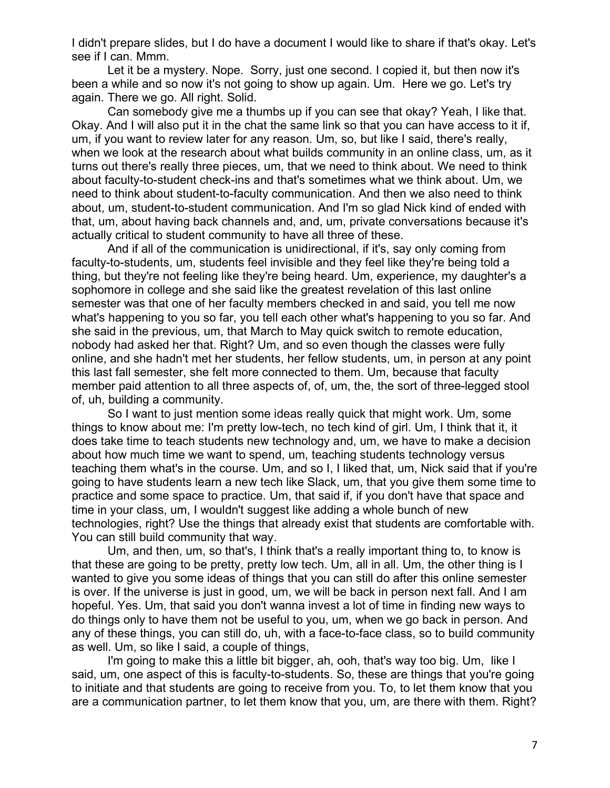I didn't prepare slides, but I do have a document I would like to share if that's okay. Let's see if I can. Mmm.

Let it be a mystery. Nope. Sorry, just one second. I copied it, but then now it's been a while and so now it's not going to show up again. Um. Here we go. Let's try again. There we go. All right. Solid.

Can somebody give me a thumbs up if you can see that okay? Yeah, I like that. Okay. And I will also put it in the chat the same link so that you can have access to it if, um, if you want to review later for any reason. Um, so, but like I said, there's really, when we look at the research about what builds community in an online class, um, as it turns out there's really three pieces, um, that we need to think about. We need to think about faculty-to-student check-ins and that's sometimes what we think about. Um, we need to think about student-to-faculty communication. And then we also need to think about, um, student-to-student communication. And I'm so glad Nick kind of ended with that, um, about having back channels and, and, um, private conversations because it's actually critical to student community to have all three of these.

And if all of the communication is unidirectional, if it's, say only coming from faculty-to-students, um, students feel invisible and they feel like they're being told a thing, but they're not feeling like they're being heard. Um, experience, my daughter's a sophomore in college and she said like the greatest revelation of this last online semester was that one of her faculty members checked in and said, you tell me now what's happening to you so far, you tell each other what's happening to you so far. And she said in the previous, um, that March to May quick switch to remote education, nobody had asked her that. Right? Um, and so even though the classes were fully online, and she hadn't met her students, her fellow students, um, in person at any point this last fall semester, she felt more connected to them. Um, because that faculty member paid attention to all three aspects of, of, um, the, the sort of three-legged stool of, uh, building a community.

So I want to just mention some ideas really quick that might work. Um, some things to know about me: I'm pretty low-tech, no tech kind of girl. Um, I think that it, it does take time to teach students new technology and, um, we have to make a decision about how much time we want to spend, um, teaching students technology versus teaching them what's in the course. Um, and so I, I liked that, um, Nick said that if you're going to have students learn a new tech like Slack, um, that you give them some time to practice and some space to practice. Um, that said if, if you don't have that space and time in your class, um, I wouldn't suggest like adding a whole bunch of new technologies, right? Use the things that already exist that students are comfortable with. You can still build community that way.

Um, and then, um, so that's, I think that's a really important thing to, to know is that these are going to be pretty, pretty low tech. Um, all in all. Um, the other thing is I wanted to give you some ideas of things that you can still do after this online semester is over. If the universe is just in good, um, we will be back in person next fall. And I am hopeful. Yes. Um, that said you don't wanna invest a lot of time in finding new ways to do things only to have them not be useful to you, um, when we go back in person. And any of these things, you can still do, uh, with a face-to-face class, so to build community as well. Um, so like I said, a couple of things,

I'm going to make this a little bit bigger, ah, ooh, that's way too big. Um, like I said, um, one aspect of this is faculty-to-students. So, these are things that you're going to initiate and that students are going to receive from you. To, to let them know that you are a communication partner, to let them know that you, um, are there with them. Right?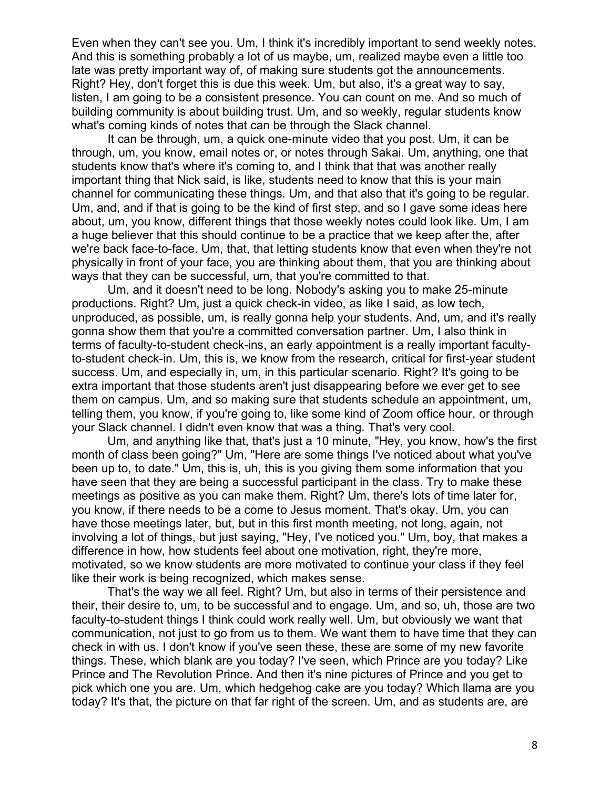Even when they can't see you. Um, I think it's incredibly important to send weekly notes. And this is something probably a lot of us maybe, um, realized maybe even a little too late was pretty important way of, of making sure students got the announcements. Right? Hey, don't forget this is due this week. Um, but also, it's a great way to say, listen, I am going to be a consistent presence. You can count on me. And so much of building community is about building trust. Um, and so weekly, regular students know what's coming kinds of notes that can be through the Slack channel.

It can be through, um, a quick one-minute video that you post. Um, it can be through, um, you know, email notes or, or notes through Sakai. Um, anything, one that students know that's where it's coming to, and I think that that was another really important thing that Nick said, is like, students need to know that this is your main channel for communicating these things. Um, and that also that it's going to be regular. Um, and, and if that is going to be the kind of first step, and so I gave some ideas here about, um, you know, different things that those weekly notes could look like. Um, I am a huge believer that this should continue to be a practice that we keep after the, after we're back face-to-face. Um, that, that letting students know that even when they're not physically in front of your face, you are thinking about them, that you are thinking about ways that they can be successful, um, that you're committed to that.

Um, and it doesn't need to be long. Nobody's asking you to make 25-minute productions. Right? Um, just a quick check-in video, as like I said, as low tech, unproduced, as possible, um, is really gonna help your students. And, um, and it's really gonna show them that you're a committed conversation partner. Um, I also think in terms of faculty-to-student check-ins, an early appointment is a really important facultyto-student check-in. Um, this is, we know from the research, critical for first-year student success. Um, and especially in, um, in this particular scenario. Right? It's going to be extra important that those students aren't just disappearing before we ever get to see them on campus. Um, and so making sure that students schedule an appointment, um, telling them, you know, if you're going to, like some kind of Zoom office hour, or through your Slack channel. I didn't even know that was a thing. That's very cool.

Um, and anything like that, that's just a 10 minute, "Hey, you know, how's the first month of class been going?" Um, "Here are some things I've noticed about what you've been up to, to date." Um, this is, uh, this is you giving them some information that you have seen that they are being a successful participant in the class. Try to make these meetings as positive as you can make them. Right? Um, there's lots of time later for, you know, if there needs to be a come to Jesus moment. That's okay. Um, you can have those meetings later, but, but in this first month meeting, not long, again, not involving a lot of things, but just saying, "Hey, I've noticed you." Um, boy, that makes a difference in how, how students feel about one motivation, right, they're more, motivated, so we know students are more motivated to continue your class if they feel like their work is being recognized, which makes sense.

That's the way we all feel. Right? Um, but also in terms of their persistence and their, their desire to, um, to be successful and to engage. Um, and so, uh, those are two faculty-to-student things I think could work really well. Um, but obviously we want that communication, not just to go from us to them. We want them to have time that they can check in with us. I don't know if you've seen these, these are some of my new favorite things. These, which blank are you today? I've seen, which Prince are you today? Like Prince and The Revolution Prince. And then it's nine pictures of Prince and you get to pick which one you are. Um, which hedgehog cake are you today? Which llama are you today? It's that, the picture on that far right of the screen. Um, and as students are, are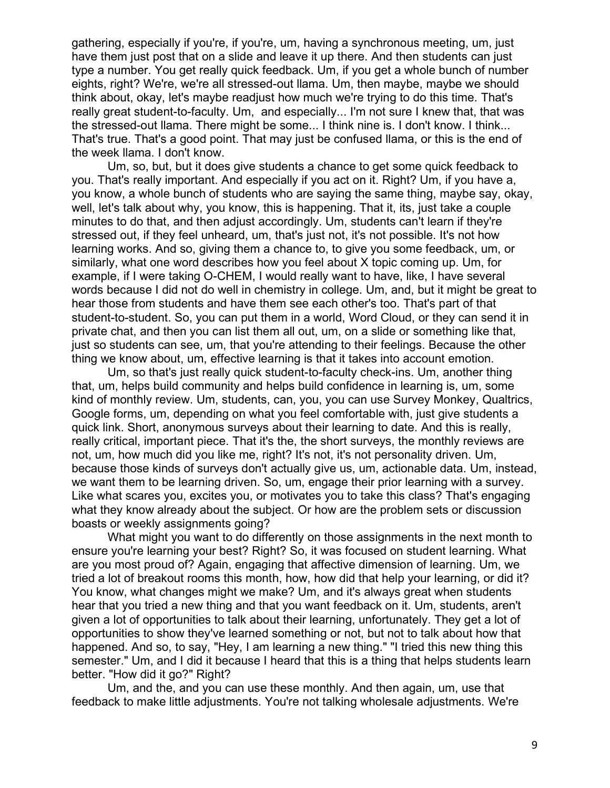gathering, especially if you're, if you're, um, having a synchronous meeting, um, just have them just post that on a slide and leave it up there. And then students can just type a number. You get really quick feedback. Um, if you get a whole bunch of number eights, right? We're, we're all stressed-out llama. Um, then maybe, maybe we should think about, okay, let's maybe readjust how much we're trying to do this time. That's really great student-to-faculty. Um, and especially... I'm not sure I knew that, that was the stressed-out llama. There might be some... I think nine is. I don't know. I think... That's true. That's a good point. That may just be confused llama, or this is the end of the week llama. I don't know.

Um, so, but, but it does give students a chance to get some quick feedback to you. That's really important. And especially if you act on it. Right? Um, if you have a, you know, a whole bunch of students who are saying the same thing, maybe say, okay, well, let's talk about why, you know, this is happening. That it, its, just take a couple minutes to do that, and then adjust accordingly. Um, students can't learn if they're stressed out, if they feel unheard, um, that's just not, it's not possible. It's not how learning works. And so, giving them a chance to, to give you some feedback, um, or similarly, what one word describes how you feel about X topic coming up. Um, for example, if I were taking O-CHEM, I would really want to have, like, I have several words because I did not do well in chemistry in college. Um, and, but it might be great to hear those from students and have them see each other's too. That's part of that student-to-student. So, you can put them in a world, Word Cloud, or they can send it in private chat, and then you can list them all out, um, on a slide or something like that, just so students can see, um, that you're attending to their feelings. Because the other thing we know about, um, effective learning is that it takes into account emotion.

Um, so that's just really quick student-to-faculty check-ins. Um, another thing that, um, helps build community and helps build confidence in learning is, um, some kind of monthly review. Um, students, can, you, you can use Survey Monkey, Qualtrics, Google forms, um, depending on what you feel comfortable with, just give students a quick link. Short, anonymous surveys about their learning to date. And this is really, really critical, important piece. That it's the, the short surveys, the monthly reviews are not, um, how much did you like me, right? It's not, it's not personality driven. Um, because those kinds of surveys don't actually give us, um, actionable data. Um, instead, we want them to be learning driven. So, um, engage their prior learning with a survey. Like what scares you, excites you, or motivates you to take this class? That's engaging what they know already about the subject. Or how are the problem sets or discussion boasts or weekly assignments going?

What might you want to do differently on those assignments in the next month to ensure you're learning your best? Right? So, it was focused on student learning. What are you most proud of? Again, engaging that affective dimension of learning. Um, we tried a lot of breakout rooms this month, how, how did that help your learning, or did it? You know, what changes might we make? Um, and it's always great when students hear that you tried a new thing and that you want feedback on it. Um, students, aren't given a lot of opportunities to talk about their learning, unfortunately. They get a lot of opportunities to show they've learned something or not, but not to talk about how that happened. And so, to say, "Hey, I am learning a new thing." "I tried this new thing this semester." Um, and I did it because I heard that this is a thing that helps students learn better. "How did it go?" Right?

Um, and the, and you can use these monthly. And then again, um, use that feedback to make little adjustments. You're not talking wholesale adjustments. We're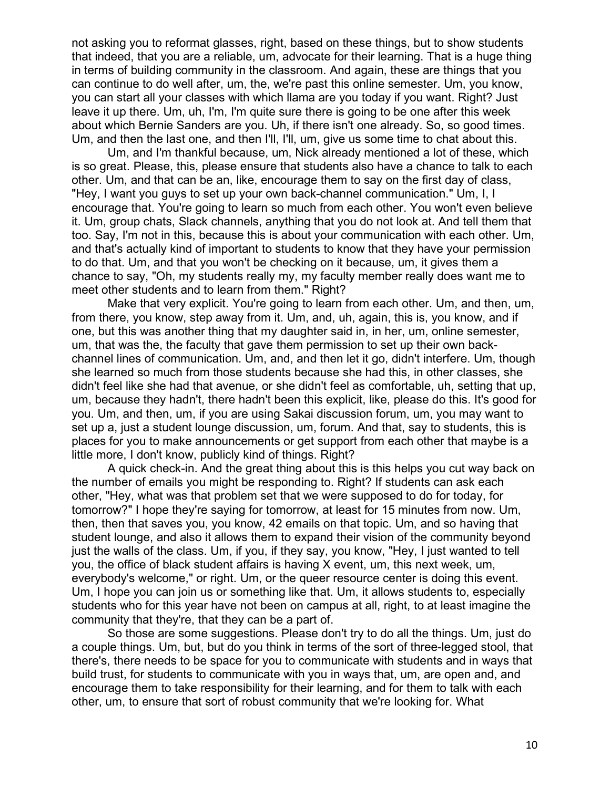not asking you to reformat glasses, right, based on these things, but to show students that indeed, that you are a reliable, um, advocate for their learning. That is a huge thing in terms of building community in the classroom. And again, these are things that you can continue to do well after, um, the, we're past this online semester. Um, you know, you can start all your classes with which llama are you today if you want. Right? Just leave it up there. Um, uh, I'm, I'm quite sure there is going to be one after this week about which Bernie Sanders are you. Uh, if there isn't one already. So, so good times. Um, and then the last one, and then I'll, I'll, um, give us some time to chat about this.

Um, and I'm thankful because, um, Nick already mentioned a lot of these, which is so great. Please, this, please ensure that students also have a chance to talk to each other. Um, and that can be an, like, encourage them to say on the first day of class, "Hey, I want you guys to set up your own back-channel communication." Um, I, I encourage that. You're going to learn so much from each other. You won't even believe it. Um, group chats, Slack channels, anything that you do not look at. And tell them that too. Say, I'm not in this, because this is about your communication with each other. Um, and that's actually kind of important to students to know that they have your permission to do that. Um, and that you won't be checking on it because, um, it gives them a chance to say, "Oh, my students really my, my faculty member really does want me to meet other students and to learn from them." Right?

Make that very explicit. You're going to learn from each other. Um, and then, um, from there, you know, step away from it. Um, and, uh, again, this is, you know, and if one, but this was another thing that my daughter said in, in her, um, online semester, um, that was the, the faculty that gave them permission to set up their own backchannel lines of communication. Um, and, and then let it go, didn't interfere. Um, though she learned so much from those students because she had this, in other classes, she didn't feel like she had that avenue, or she didn't feel as comfortable, uh, setting that up, um, because they hadn't, there hadn't been this explicit, like, please do this. It's good for you. Um, and then, um, if you are using Sakai discussion forum, um, you may want to set up a, just a student lounge discussion, um, forum. And that, say to students, this is places for you to make announcements or get support from each other that maybe is a little more, I don't know, publicly kind of things. Right?

A quick check-in. And the great thing about this is this helps you cut way back on the number of emails you might be responding to. Right? If students can ask each other, "Hey, what was that problem set that we were supposed to do for today, for tomorrow?" I hope they're saying for tomorrow, at least for 15 minutes from now. Um, then, then that saves you, you know, 42 emails on that topic. Um, and so having that student lounge, and also it allows them to expand their vision of the community beyond just the walls of the class. Um, if you, if they say, you know, "Hey, I just wanted to tell you, the office of black student affairs is having X event, um, this next week, um, everybody's welcome," or right. Um, or the queer resource center is doing this event. Um, I hope you can join us or something like that. Um, it allows students to, especially students who for this year have not been on campus at all, right, to at least imagine the community that they're, that they can be a part of.

So those are some suggestions. Please don't try to do all the things. Um, just do a couple things. Um, but, but do you think in terms of the sort of three-legged stool, that there's, there needs to be space for you to communicate with students and in ways that build trust, for students to communicate with you in ways that, um, are open and, and encourage them to take responsibility for their learning, and for them to talk with each other, um, to ensure that sort of robust community that we're looking for. What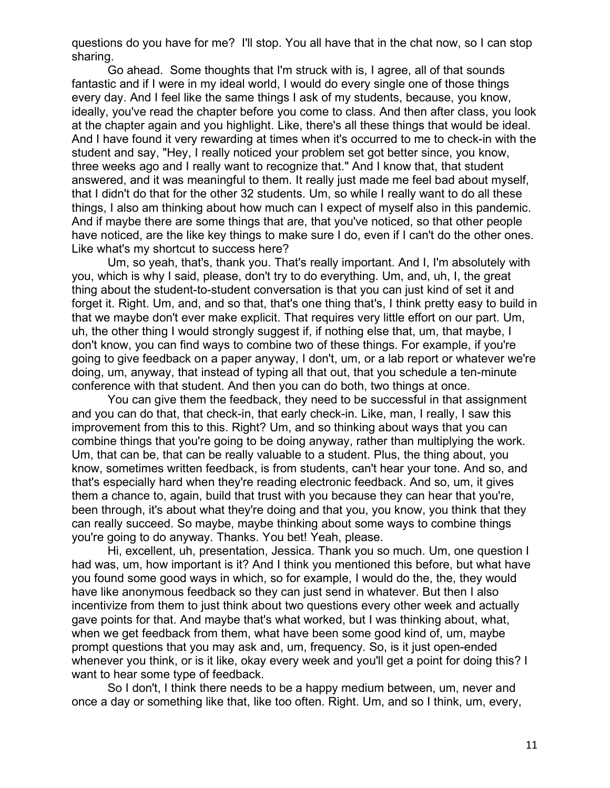questions do you have for me? I'll stop. You all have that in the chat now, so I can stop sharing.

Go ahead. Some thoughts that I'm struck with is, I agree, all of that sounds fantastic and if I were in my ideal world, I would do every single one of those things every day. And I feel like the same things I ask of my students, because, you know, ideally, you've read the chapter before you come to class. And then after class, you look at the chapter again and you highlight. Like, there's all these things that would be ideal. And I have found it very rewarding at times when it's occurred to me to check-in with the student and say, "Hey, I really noticed your problem set got better since, you know, three weeks ago and I really want to recognize that." And I know that, that student answered, and it was meaningful to them. It really just made me feel bad about myself, that I didn't do that for the other 32 students. Um, so while I really want to do all these things, I also am thinking about how much can I expect of myself also in this pandemic. And if maybe there are some things that are, that you've noticed, so that other people have noticed, are the like key things to make sure I do, even if I can't do the other ones. Like what's my shortcut to success here?

Um, so yeah, that's, thank you. That's really important. And I, I'm absolutely with you, which is why I said, please, don't try to do everything. Um, and, uh, I, the great thing about the student-to-student conversation is that you can just kind of set it and forget it. Right. Um, and, and so that, that's one thing that's, I think pretty easy to build in that we maybe don't ever make explicit. That requires very little effort on our part. Um, uh, the other thing I would strongly suggest if, if nothing else that, um, that maybe, I don't know, you can find ways to combine two of these things. For example, if you're going to give feedback on a paper anyway, I don't, um, or a lab report or whatever we're doing, um, anyway, that instead of typing all that out, that you schedule a ten-minute conference with that student. And then you can do both, two things at once.

You can give them the feedback, they need to be successful in that assignment and you can do that, that check-in, that early check-in. Like, man, I really, I saw this improvement from this to this. Right? Um, and so thinking about ways that you can combine things that you're going to be doing anyway, rather than multiplying the work. Um, that can be, that can be really valuable to a student. Plus, the thing about, you know, sometimes written feedback, is from students, can't hear your tone. And so, and that's especially hard when they're reading electronic feedback. And so, um, it gives them a chance to, again, build that trust with you because they can hear that you're, been through, it's about what they're doing and that you, you know, you think that they can really succeed. So maybe, maybe thinking about some ways to combine things you're going to do anyway. Thanks. You bet! Yeah, please.

Hi, excellent, uh, presentation, Jessica. Thank you so much. Um, one question I had was, um, how important is it? And I think you mentioned this before, but what have you found some good ways in which, so for example, I would do the, the, they would have like anonymous feedback so they can just send in whatever. But then I also incentivize from them to just think about two questions every other week and actually gave points for that. And maybe that's what worked, but I was thinking about, what, when we get feedback from them, what have been some good kind of, um, maybe prompt questions that you may ask and, um, frequency. So, is it just open-ended whenever you think, or is it like, okay every week and you'll get a point for doing this? I want to hear some type of feedback.

So I don't, I think there needs to be a happy medium between, um, never and once a day or something like that, like too often. Right. Um, and so I think, um, every,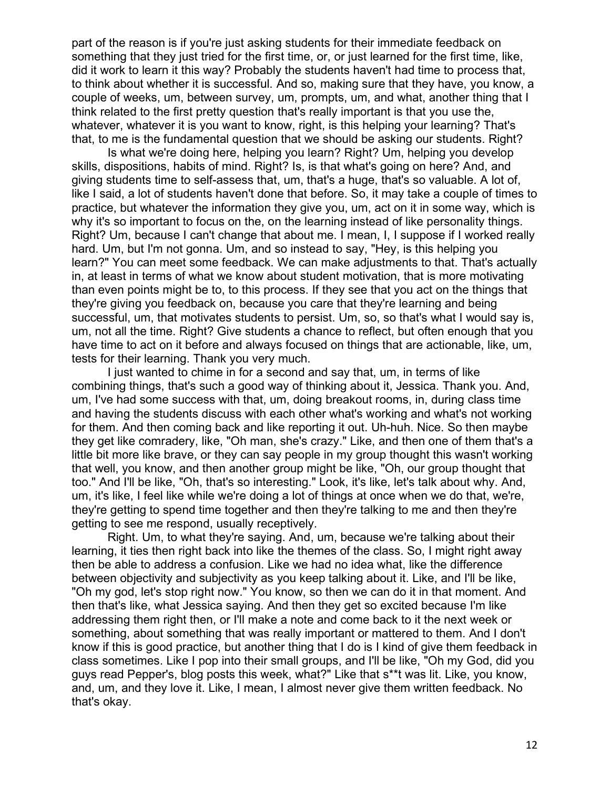part of the reason is if you're just asking students for their immediate feedback on something that they just tried for the first time, or, or just learned for the first time, like, did it work to learn it this way? Probably the students haven't had time to process that, to think about whether it is successful. And so, making sure that they have, you know, a couple of weeks, um, between survey, um, prompts, um, and what, another thing that I think related to the first pretty question that's really important is that you use the, whatever, whatever it is you want to know, right, is this helping your learning? That's that, to me is the fundamental question that we should be asking our students. Right?

Is what we're doing here, helping you learn? Right? Um, helping you develop skills, dispositions, habits of mind. Right? Is, is that what's going on here? And, and giving students time to self-assess that, um, that's a huge, that's so valuable. A lot of, like I said, a lot of students haven't done that before. So, it may take a couple of times to practice, but whatever the information they give you, um, act on it in some way, which is why it's so important to focus on the, on the learning instead of like personality things. Right? Um, because I can't change that about me. I mean, I, I suppose if I worked really hard. Um, but I'm not gonna. Um, and so instead to say, "Hey, is this helping you learn?" You can meet some feedback. We can make adjustments to that. That's actually in, at least in terms of what we know about student motivation, that is more motivating than even points might be to, to this process. If they see that you act on the things that they're giving you feedback on, because you care that they're learning and being successful, um, that motivates students to persist. Um, so, so that's what I would say is, um, not all the time. Right? Give students a chance to reflect, but often enough that you have time to act on it before and always focused on things that are actionable, like, um, tests for their learning. Thank you very much.

I just wanted to chime in for a second and say that, um, in terms of like combining things, that's such a good way of thinking about it, Jessica. Thank you. And, um, I've had some success with that, um, doing breakout rooms, in, during class time and having the students discuss with each other what's working and what's not working for them. And then coming back and like reporting it out. Uh-huh. Nice. So then maybe they get like comradery, like, "Oh man, she's crazy." Like, and then one of them that's a little bit more like brave, or they can say people in my group thought this wasn't working that well, you know, and then another group might be like, "Oh, our group thought that too." And I'll be like, "Oh, that's so interesting." Look, it's like, let's talk about why. And, um, it's like, I feel like while we're doing a lot of things at once when we do that, we're, they're getting to spend time together and then they're talking to me and then they're getting to see me respond, usually receptively.

Right. Um, to what they're saying. And, um, because we're talking about their learning, it ties then right back into like the themes of the class. So, I might right away then be able to address a confusion. Like we had no idea what, like the difference between objectivity and subjectivity as you keep talking about it. Like, and I'll be like, "Oh my god, let's stop right now." You know, so then we can do it in that moment. And then that's like, what Jessica saying. And then they get so excited because I'm like addressing them right then, or I'll make a note and come back to it the next week or something, about something that was really important or mattered to them. And I don't know if this is good practice, but another thing that I do is I kind of give them feedback in class sometimes. Like I pop into their small groups, and I'll be like, "Oh my God, did you guys read Pepper's, blog posts this week, what?" Like that s\*\*t was lit. Like, you know, and, um, and they love it. Like, I mean, I almost never give them written feedback. No that's okay.